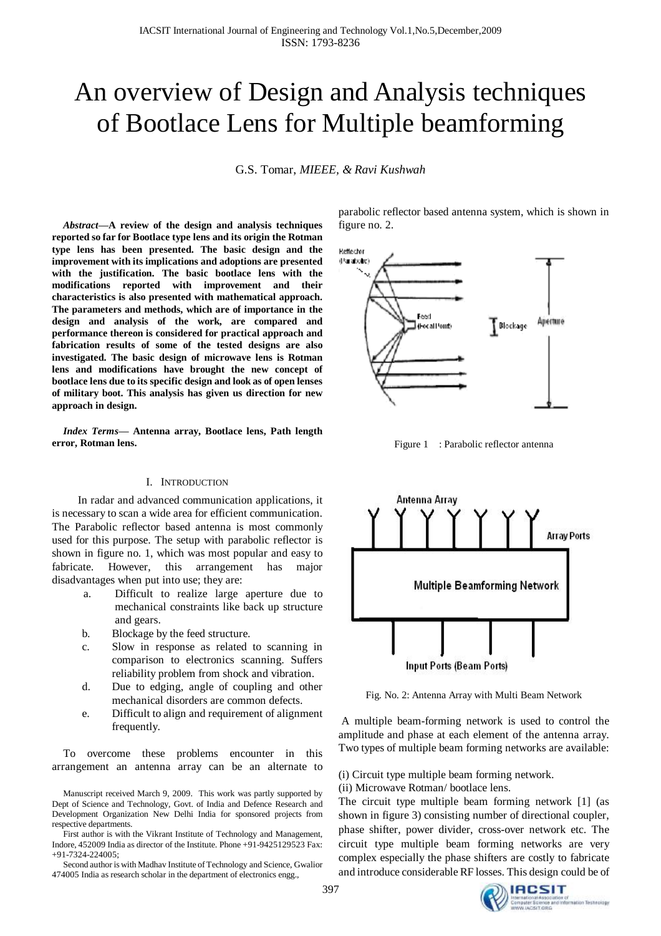# An overview of Design and Analysis techniques of Bootlace Lens for Multiple beamforming

G.S. Tomar, *MIEEE, & Ravi Kushwah*

*Abstract***—A review of the design and analysis techniques reported so far for Bootlace type lens and its origin the Rotman type lens has been presented. The basic design and the improvement with its implications and adoptions are presented with the justification. The basic bootlace lens with the modifications reported with improvement and their characteristics is also presented with mathematical approach. The parameters and methods, which are of importance in the design and analysis of the work, are compared and performance thereon is considered for practical approach and fabrication results of some of the tested designs are also investigated. The basic design of microwave lens is Rotman lens and modifications have brought the new concept of bootlace lens due to its specific design and look as of open lenses of military boot. This analysis has given us direction for new approach in design.** 

*Index Terms***— Antenna array, Bootlace lens, Path length error, Rotman lens.** 

#### I. INTRODUCTION

 In radar and advanced communication applications, it is necessary to scan a wide area for efficient communication. The Parabolic reflector based antenna is most commonly used for this purpose. The setup with parabolic reflector is shown in figure no. 1, which was most popular and easy to fabricate. However, this arrangement has major disadvantages when put into use; they are:

- a. Difficult to realize large aperture due to mechanical constraints like back up structure and gears.
- b. Blockage by the feed structure.
- c. Slow in response as related to scanning in comparison to electronics scanning. Suffers reliability problem from shock and vibration.
- d. Due to edging, angle of coupling and other mechanical disorders are common defects.
- e. Difficult to align and requirement of alignment frequently.

To overcome these problems encounter in this arrangement an antenna array can be an alternate to

Second author is with Madhav Institute of Technology and Science, Gwalior 474005 India as research scholar in the department of electronics engg.,

parabolic reflector based antenna system, which is shown in figure no. 2.



Figure 1 : Parabolic reflector antenna



Fig. No. 2: Antenna Array with Multi Beam Network

A multiple beam-forming network is used to control the amplitude and phase at each element of the antenna array. Two types of multiple beam forming networks are available:

(i) Circuit type multiple beam forming network.

(ii) Microwave Rotman/ bootlace lens.

The circuit type multiple beam forming network [1] (as shown in figure 3) consisting number of directional coupler, phase shifter, power divider, cross-over network etc. The circuit type multiple beam forming networks are very complex especially the phase shifters are costly to fabricate and introduce considerable RF losses. This design could be of

Manuscript received March 9, 2009. This work was partly supported by Dept of Science and Technology, Govt. of India and Defence Research and Development Organization New Delhi India for sponsored projects from respective departments.

First author is with the Vikrant Institute of Technology and Management, Indore, 452009 India as director of the Institute. Phone +91-9425129523 Fax: +91-7324-224005;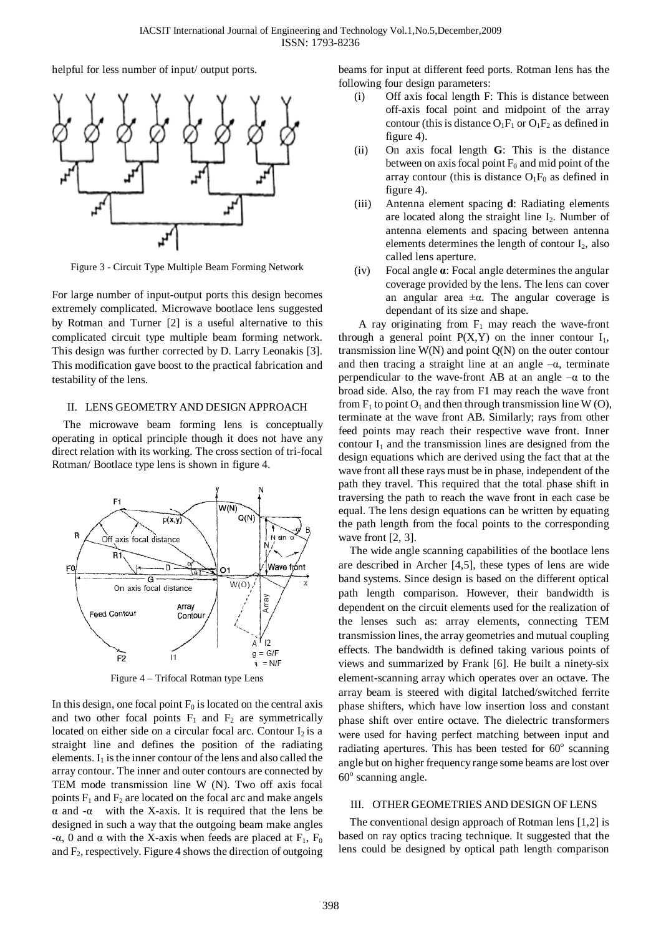helpful for less number of input/ output ports.



Figure 3 - Circuit Type Multiple Beam Forming Network

For large number of input-output ports this design becomes extremely complicated. Microwave bootlace lens suggested by Rotman and Turner [2] is a useful alternative to this complicated circuit type multiple beam forming network. This design was further corrected by D. Larry Leonakis [3]. This modification gave boost to the practical fabrication and testability of the lens.

### II. LENS GEOMETRY AND DESIGN APPROACH

The microwave beam forming lens is conceptually operating in optical principle though it does not have any direct relation with its working. The cross section of tri-focal Rotman/ Bootlace type lens is shown in figure 4.



Figure 4 – Trifocal Rotman type Lens

In this design, one focal point  $F_0$  is located on the central axis and two other focal points  $F_1$  and  $F_2$  are symmetrically located on either side on a circular focal arc. Contour  $I_2$  is a straight line and defines the position of the radiating elements.  $I_1$  is the inner contour of the lens and also called the array contour. The inner and outer contours are connected by TEM mode transmission line W (N). Two off axis focal points  $F_1$  and  $F_2$  are located on the focal arc and make angels α and -α with the X-axis. It is required that the lens be designed in such a way that the outgoing beam make angles -α, 0 and α with the X-axis when feeds are placed at  $F_1$ ,  $F_0$ and  $F_2$ , respectively. Figure 4 shows the direction of outgoing beams for input at different feed ports. Rotman lens has the following four design parameters:

- (i) Off axis focal length F: This is distance between off-axis focal point and midpoint of the array contour (this is distance  $O_1F_1$  or  $O_1F_2$  as defined in figure 4).
- (ii) On axis focal length **G**: This is the distance between on axis focal point  $F_0$  and mid point of the array contour (this is distance  $O_1F_0$  as defined in figure 4).
- (iii) Antenna element spacing **d**: Radiating elements are located along the straight line  $I_2$ . Number of antenna elements and spacing between antenna elements determines the length of contour  $I_2$ , also called lens aperture.
- (iv) Focal angle **α**: Focal angle determines the angular coverage provided by the lens. The lens can cover an angular area  $\pm \alpha$ . The angular coverage is dependant of its size and shape.

A ray originating from  $F_1$  may reach the wave-front through a general point  $P(X, Y)$  on the inner contour  $I_1$ , transmission line  $W(N)$  and point  $Q(N)$  on the outer contour and then tracing a straight line at an angle  $-\alpha$ , terminate perpendicular to the wave-front AB at an angle  $-\alpha$  to the broad side. Also, the ray from F1 may reach the wave front from  $F_1$  to point  $O_1$  and then through transmission line W (O), terminate at the wave front AB. Similarly; rays from other feed points may reach their respective wave front. Inner contour  $I_1$  and the transmission lines are designed from the design equations which are derived using the fact that at the wave front all these rays must be in phase, independent of the path they travel. This required that the total phase shift in traversing the path to reach the wave front in each case be equal. The lens design equations can be written by equating the path length from the focal points to the corresponding wave front [2, 3].

The wide angle scanning capabilities of the bootlace lens are described in Archer [4,5], these types of lens are wide band systems. Since design is based on the different optical path length comparison. However, their bandwidth is dependent on the circuit elements used for the realization of the lenses such as: array elements, connecting TEM transmission lines, the array geometries and mutual coupling effects. The bandwidth is defined taking various points of views and summarized by Frank [6]. He built a ninety-six element-scanning array which operates over an octave. The array beam is steered with digital latched/switched ferrite phase shifters, which have low insertion loss and constant phase shift over entire octave. The dielectric transformers were used for having perfect matching between input and radiating apertures. This has been tested for  $60^\circ$  scanning angle but on higher frequency range some beams are lost over 60° scanning angle.

## III. OTHER GEOMETRIES AND DESIGN OF LENS

The conventional design approach of Rotman lens [1,2] is based on ray optics tracing technique. It suggested that the lens could be designed by optical path length comparison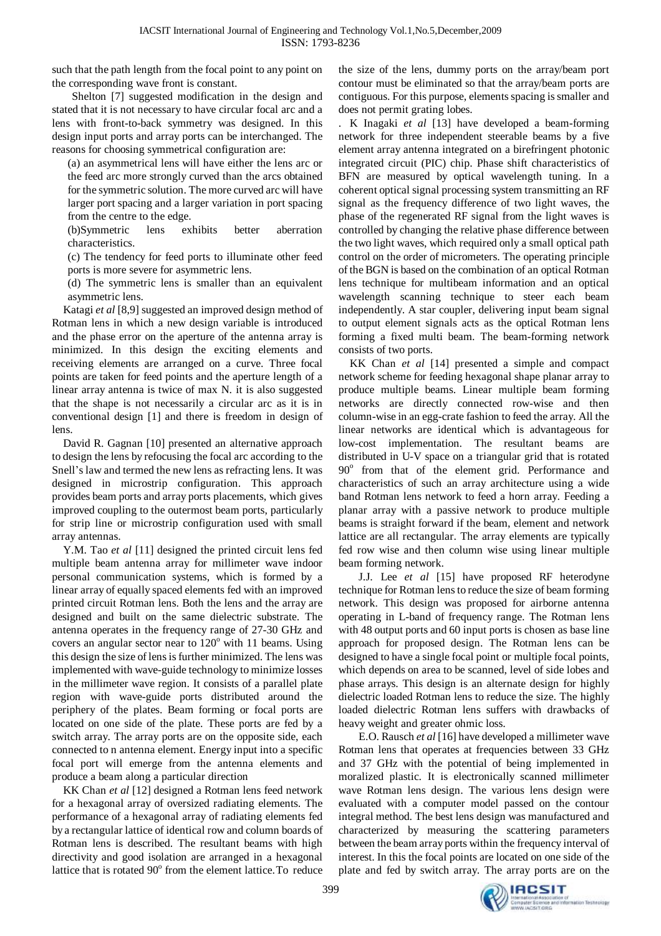such that the path length from the focal point to any point on the corresponding wave front is constant.

Shelton [7] suggested modification in the design and stated that it is not necessary to have circular focal arc and a lens with front-to-back symmetry was designed. In this design input ports and array ports can be interchanged. The reasons for choosing symmetrical configuration are:

(a) an asymmetrical lens will have either the lens arc or the feed arc more strongly curved than the arcs obtained for the symmetric solution. The more curved arc will have larger port spacing and a larger variation in port spacing from the centre to the edge.

(b)Symmetric lens exhibits better aberration characteristics.

(c) The tendency for feed ports to illuminate other feed ports is more severe for asymmetric lens.

(d) The symmetric lens is smaller than an equivalent asymmetric lens.

Katagi *et al* [8,9] suggested an improved design method of Rotman lens in which a new design variable is introduced and the phase error on the aperture of the antenna array is minimized. In this design the exciting elements and receiving elements are arranged on a curve. Three focal points are taken for feed points and the aperture length of a linear array antenna is twice of max N. it is also suggested that the shape is not necessarily a circular arc as it is in conventional design [1] and there is freedom in design of lens.

David R. Gagnan [10] presented an alternative approach to design the lens by refocusing the focal arc according to the Snell's law and termed the new lens as refracting lens. It was designed in microstrip configuration. This approach provides beam ports and array ports placements, which gives improved coupling to the outermost beam ports, particularly for strip line or microstrip configuration used with small array antennas.

Y.M. Tao *et al* [11] designed the printed circuit lens fed multiple beam antenna array for millimeter wave indoor personal communication systems, which is formed by a linear array of equally spaced elements fed with an improved printed circuit Rotman lens. Both the lens and the array are designed and built on the same dielectric substrate. The antenna operates in the frequency range of 27-30 GHz and covers an angular sector near to  $120^{\circ}$  with 11 beams. Using this design the size of lens is further minimized. The lens was implemented with wave-guide technology to minimize losses in the millimeter wave region. It consists of a parallel plate region with wave-guide ports distributed around the periphery of the plates. Beam forming or focal ports are located on one side of the plate. These ports are fed by a switch array. The array ports are on the opposite side, each connected to n antenna element. Energy input into a specific focal port will emerge from the antenna elements and produce a beam along a particular direction

KK Chan *et al* [12] designed a Rotman lens feed network for a hexagonal array of oversized radiating elements. The performance of a hexagonal array of radiating elements fed by a rectangular lattice of identical row and column boards of Rotman lens is described. The resultant beams with high directivity and good isolation are arranged in a hexagonal lattice that is rotated 90° from the element lattice. To reduce the size of the lens, dummy ports on the array/beam port contour must be eliminated so that the array/beam ports are contiguous. For this purpose, elements spacing is smaller and does not permit grating lobes.

. K Inagaki *et al* [13] have developed a beam-forming network for three independent steerable beams by a five element array antenna integrated on a birefringent photonic integrated circuit (PIC) chip. Phase shift characteristics of BFN are measured by optical wavelength tuning. In a coherent optical signal processing system transmitting an RF signal as the frequency difference of two light waves, the phase of the regenerated RF signal from the light waves is controlled by changing the relative phase difference between the two light waves, which required only a small optical path control on the order of micrometers. The operating principle of the BGN is based on the combination of an optical Rotman lens technique for multibeam information and an optical wavelength scanning technique to steer each beam independently. A star coupler, delivering input beam signal to output element signals acts as the optical Rotman lens forming a fixed multi beam. The beam-forming network consists of two ports.

KK Chan *et al* [14] presented a simple and compact network scheme for feeding hexagonal shape planar array to produce multiple beams. Linear multiple beam forming networks are directly connected row-wise and then column-wise in an egg-crate fashion to feed the array. All the linear networks are identical which is advantageous for low-cost implementation. The resultant beams are distributed in U-V space on a triangular grid that is rotated 90° from that of the element grid. Performance and characteristics of such an array architecture using a wide band Rotman lens network to feed a horn array. Feeding a planar array with a passive network to produce multiple beams is straight forward if the beam, element and network lattice are all rectangular. The array elements are typically fed row wise and then column wise using linear multiple beam forming network.

J.J. Lee *et al* [15] have proposed RF heterodyne technique for Rotman lensto reduce the size of beam forming network. This design was proposed for airborne antenna operating in L-band of frequency range. The Rotman lens with 48 output ports and 60 input ports is chosen as base line approach for proposed design. The Rotman lens can be designed to have a single focal point or multiple focal points, which depends on area to be scanned, level of side lobes and phase arrays. This design is an alternate design for highly dielectric loaded Rotman lens to reduce the size. The highly loaded dielectric Rotman lens suffers with drawbacks of heavy weight and greater ohmic loss.

E.O. Rausch *et al* [16] have developed a millimeter wave Rotman lens that operates at frequencies between 33 GHz and 37 GHz with the potential of being implemented in moralized plastic. It is electronically scanned millimeter wave Rotman lens design. The various lens design were evaluated with a computer model passed on the contour integral method. The best lens design was manufactured and characterized by measuring the scattering parameters between the beam array ports within the frequency interval of interest. In this the focal points are located on one side of the plate and fed by switch array. The array ports are on the

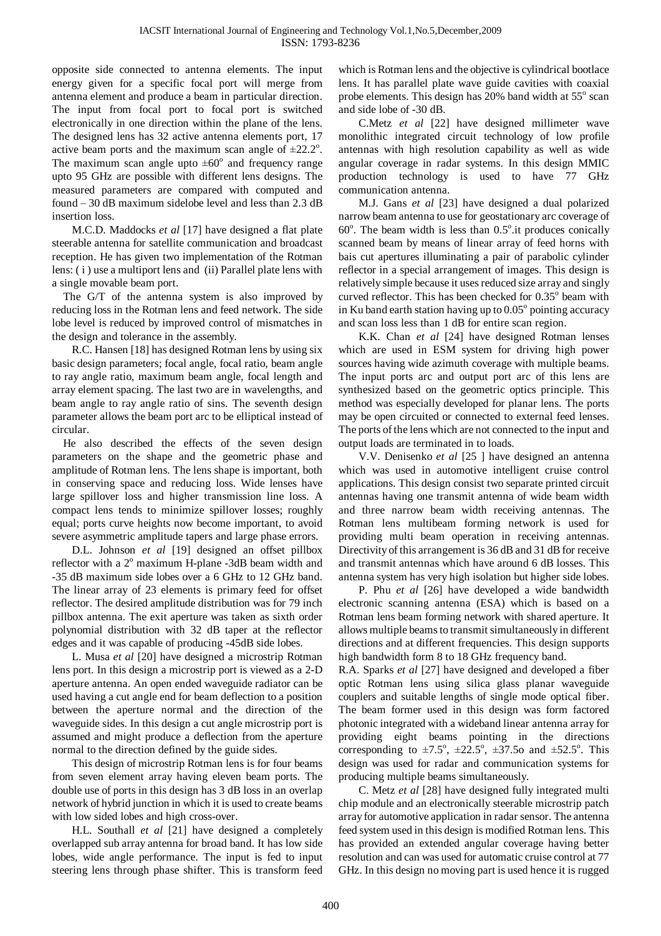opposite side connected to antenna elements. The input energy given for a specific focal port will merge from antenna element and produce a beam in particular direction. The input from focal port to focal port is switched electronically in one direction within the plane of the lens. The designed lens has 32 active antenna elements port, 17 active beam ports and the maximum scan angle of  $\pm 22.2^{\circ}$ . The maximum scan angle upto  $\pm 60^\circ$  and frequency range upto 95 GHz are possible with different lens designs. The measured parameters are compared with computed and found – 30 dB maximum sidelobe level and less than 2.3 dB insertion loss.

M.C.D. Maddocks *et al* [17] have designed a flat plate steerable antenna for satellite communication and broadcast reception. He has given two implementation of the Rotman lens: ( i ) use a multiport lens and (ii) Parallel plate lens with a single movable beam port.

The G/T of the antenna system is also improved by reducing loss in the Rotman lens and feed network. The side lobe level is reduced by improved control of mismatches in the design and tolerance in the assembly.

R.C. Hansen [18] has designed Rotman lens by using six basic design parameters; focal angle, focal ratio, beam angle to ray angle ratio, maximum beam angle, focal length and array element spacing. The last two are in wavelengths, and beam angle to ray angle ratio of sins. The seventh design parameter allows the beam port arc to be elliptical instead of circular.

He also described the effects of the seven design parameters on the shape and the geometric phase and amplitude of Rotman lens. The lens shape is important, both in conserving space and reducing loss. Wide lenses have large spillover loss and higher transmission line loss. A compact lens tends to minimize spillover losses; roughly equal; ports curve heights now become important, to avoid severe asymmetric amplitude tapers and large phase errors.

D.L. Johnson *et al* [19] designed an offset pillbox reflector with a 2<sup>°</sup> maximum H-plane -3dB beam width and -35 dB maximum side lobes over a 6 GHz to 12 GHz band. The linear array of 23 elements is primary feed for offset reflector. The desired amplitude distribution was for 79 inch pillbox antenna. The exit aperture was taken as sixth order polynomial distribution with 32 dB taper at the reflector edges and it was capable of producing -45dB side lobes.

L. Musa *et al* [20] have designed a microstrip Rotman lens port. In this design a microstrip port is viewed as a 2-D aperture antenna. An open ended waveguide radiator can be used having a cut angle end for beam deflection to a position between the aperture normal and the direction of the waveguide sides. In this design a cut angle microstrip port is assumed and might produce a deflection from the aperture normal to the direction defined by the guide sides.

This design of microstrip Rotman lens is for four beams from seven element array having eleven beam ports. The double use of ports in this design has 3 dB loss in an overlap network of hybrid junction in which it is used to create beams with low sided lobes and high cross-over.

H.L. Southall *et al* [21] have designed a completely overlapped sub array antenna for broad band. It has low side lobes, wide angle performance. The input is fed to input steering lens through phase shifter. This is transform feed

which is Rotman lens and the objective is cylindrical bootlace lens. It has parallel plate wave guide cavities with coaxial probe elements. This design has 20% band width at 55° scan and side lobe of -30 dB.

C.Metz *et al* [22] have designed millimeter wave monolithic integrated circuit technology of low profile antennas with high resolution capability as well as wide angular coverage in radar systems. In this design MMIC production technology is used to have 77 GHz communication antenna.

M.J. Gans *et al* [23] have designed a dual polarized narrow beam antenna to use for geostationary arc coverage of  $60^\circ$ . The beam width is less than  $0.5^\circ$  it produces conically scanned beam by means of linear array of feed horns with bais cut apertures illuminating a pair of parabolic cylinder reflector in a special arrangement of images. This design is relatively simple because it uses reduced size array and singly curved reflector. This has been checked for 0.35° beam with in Ku band earth station having up to  $0.05^{\circ}$  pointing accuracy and scan loss less than 1 dB for entire scan region.

K.K. Chan *et al* [24] have designed Rotman lenses which are used in ESM system for driving high power sources having wide azimuth coverage with multiple beams. The input ports arc and output port arc of this lens are synthesized based on the geometric optics principle. This method was especially developed for planar lens. The ports may be open circuited or connected to external feed lenses. The ports of the lens which are not connected to the input and output loads are terminated in to loads.

V.V. Denisenko *et al* [25 ] have designed an antenna which was used in automotive intelligent cruise control applications. This design consist two separate printed circuit antennas having one transmit antenna of wide beam width and three narrow beam width receiving antennas. The Rotman lens multibeam forming network is used for providing multi beam operation in receiving antennas. Directivity of this arrangement is 36 dB and 31 dB for receive and transmit antennas which have around 6 dB losses. This antenna system has very high isolation but higher side lobes.

P. Phu *et al* [26] have developed a wide bandwidth electronic scanning antenna (ESA) which is based on a Rotman lens beam forming network with shared aperture. It allows multiple beamsto transmit simultaneously in different directions and at different frequencies. This design supports high bandwidth form 8 to 18 GHz frequency band.

R.A. Sparks *et al* [27] have designed and developed a fiber optic Rotman lens using silica glass planar waveguide couplers and suitable lengths of single mode optical fiber. The beam former used in this design was form factored photonic integrated with a wideband linear antenna array for providing eight beams pointing in the directions corresponding to  $\pm 7.5^\circ$ ,  $\pm 22.5^\circ$ ,  $\pm 37.5$ o and  $\pm 52.5^\circ$ . This design was used for radar and communication systems for producing multiple beams simultaneously.

C. Metz *et al* [28] have designed fully integrated multi chip module and an electronically steerable microstrip patch array for automotive application in radar sensor. The antenna feed system used in this design is modified Rotman lens. This has provided an extended angular coverage having better resolution and can was used for automatic cruise control at 77 GHz. In this design no moving part is used hence it is rugged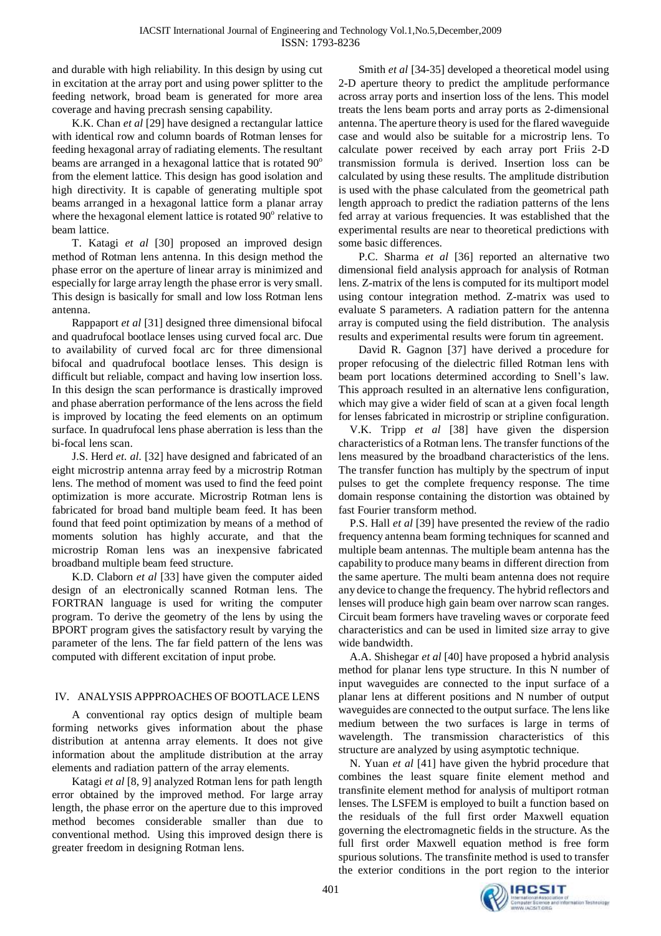and durable with high reliability. In this design by using cut in excitation at the array port and using power splitter to the feeding network, broad beam is generated for more area coverage and having precrash sensing capability.

K.K. Chan *et al* [29] have designed a rectangular lattice with identical row and column boards of Rotman lenses for feeding hexagonal array of radiating elements. The resultant beams are arranged in a hexagonal lattice that is rotated 90° from the element lattice. This design has good isolation and high directivity. It is capable of generating multiple spot beams arranged in a hexagonal lattice form a planar array where the hexagonal element lattice is rotated 90° relative to beam lattice.

T. Katagi *et al* [30] proposed an improved design method of Rotman lens antenna. In this design method the phase error on the aperture of linear array is minimized and especially for large array length the phase error is very small. This design is basically for small and low loss Rotman lens antenna.

Rappaport *et al* [31] designed three dimensional bifocal and quadrufocal bootlace lenses using curved focal arc. Due to availability of curved focal arc for three dimensional bifocal and quadrufocal bootlace lenses. This design is difficult but reliable, compact and having low insertion loss. In this design the scan performance is drastically improved and phase aberration performance of the lens across the field is improved by locating the feed elements on an optimum surface. In quadrufocal lens phase aberration is less than the bi-focal lens scan.

J.S. Herd *et. al.* [32] have designed and fabricated of an eight microstrip antenna array feed by a microstrip Rotman lens. The method of moment was used to find the feed point optimization is more accurate. Microstrip Rotman lens is fabricated for broad band multiple beam feed. It has been found that feed point optimization by means of a method of moments solution has highly accurate, and that the microstrip Roman lens was an inexpensive fabricated broadband multiple beam feed structure.

K.D. Claborn *et al* [33] have given the computer aided design of an electronically scanned Rotman lens. The FORTRAN language is used for writing the computer program. To derive the geometry of the lens by using the BPORT program gives the satisfactory result by varying the parameter of the lens. The far field pattern of the lens was computed with different excitation of input probe.

## IV. ANALYSIS APPPROACHES OF BOOTLACE LENS

A conventional ray optics design of multiple beam forming networks gives information about the phase distribution at antenna array elements. It does not give information about the amplitude distribution at the array elements and radiation pattern of the array elements.

Katagi *et al* [8, 9] analyzed Rotman lens for path length error obtained by the improved method. For large array length, the phase error on the aperture due to this improved method becomes considerable smaller than due to conventional method. Using this improved design there is greater freedom in designing Rotman lens.

Smith *et al* [34-35] developed a theoretical model using 2-D aperture theory to predict the amplitude performance across array ports and insertion loss of the lens. This model treats the lens beam ports and array ports as 2-dimensional antenna. The aperture theory is used for the flared waveguide case and would also be suitable for a microstrip lens. To calculate power received by each array port Friis 2-D transmission formula is derived. Insertion loss can be calculated by using these results. The amplitude distribution is used with the phase calculated from the geometrical path length approach to predict the radiation patterns of the lens fed array at various frequencies. It was established that the experimental results are near to theoretical predictions with some basic differences.

P.C. Sharma *et al* [36] reported an alternative two dimensional field analysis approach for analysis of Rotman lens. Z-matrix of the lens is computed for its multiport model using contour integration method. Z-matrix was used to evaluate S parameters. A radiation pattern for the antenna array is computed using the field distribution. The analysis results and experimental results were forum tin agreement.

David R. Gagnon [37] have derived a procedure for proper refocusing of the dielectric filled Rotman lens with beam port locations determined according to Snell's law. This approach resulted in an alternative lens configuration, which may give a wider field of scan at a given focal length for lenses fabricated in microstrip or stripline configuration.

V.K. Tripp *et al* [38] have given the dispersion characteristics of a Rotman lens. The transfer functions of the lens measured by the broadband characteristics of the lens. The transfer function has multiply by the spectrum of input pulses to get the complete frequency response. The time domain response containing the distortion was obtained by fast Fourier transform method.

P.S. Hall *et al* [39] have presented the review of the radio frequency antenna beam forming techniques for scanned and multiple beam antennas. The multiple beam antenna has the capability to produce many beams in different direction from the same aperture. The multi beam antenna does not require any device to change the frequency. The hybrid reflectors and lenses will produce high gain beam over narrow scan ranges. Circuit beam formers have traveling waves or corporate feed characteristics and can be used in limited size array to give wide bandwidth.

A.A. Shishegar *et al* [40] have proposed a hybrid analysis method for planar lens type structure. In this N number of input waveguides are connected to the input surface of a planar lens at different positions and N number of output waveguides are connected to the output surface. The lens like medium between the two surfaces is large in terms of wavelength. The transmission characteristics of this structure are analyzed by using asymptotic technique.

N. Yuan *et al* [41] have given the hybrid procedure that combines the least square finite element method and transfinite element method for analysis of multiport rotman lenses. The LSFEM is employed to built a function based on the residuals of the full first order Maxwell equation governing the electromagnetic fields in the structure. As the full first order Maxwell equation method is free form spurious solutions. The transfinite method is used to transfer the exterior conditions in the port region to the interior

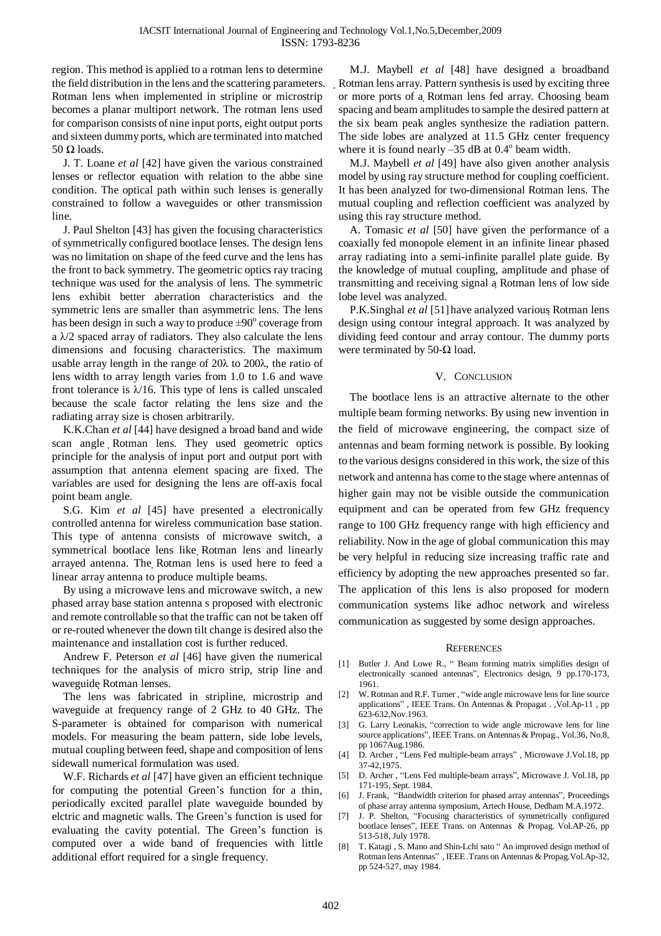region. This method is applied to a rotman lens to determine the field distribution in the lens and the scattering parameters. Rotman lens when implemented in stripline or microstrip becomes a planar multiport network. The rotman lens used for comparison consists of nine input ports, eight output ports and sixteen dummy ports, which are terminated into matched 50  $\Omega$  loads.

J. T. Loane *et al* [42] have given the various constrained lenses or reflector equation with relation to the abbe sine condition. The optical path within such lenses is generally constrained to follow a waveguides or other transmission line.

J. Paul Shelton [43] has given the focusing characteristics ofsymmetrically configured bootlace lenses. The design lens was no limitation on shape of the feed curve and the lens has the front to back symmetry. The geometric optics ray tracing technique was used for the analysis of lens. The symmetric lens exhibit better aberration characteristics and the symmetric lens are smaller than asymmetric lens. The lens has been design in such a way to produce  $\pm 90^\circ$  coverage from a  $\lambda$ /2 spaced array of radiators. They also calculate the lens dimensions and focusing characteristics. The maximum usable array length in the range of 20λ to 200λ, the ratio of lens width to array length varies from 1.0 to 1.6 and wave front tolerance is  $\lambda$ 16. This type of lens is called unscaled because the scale factor relating the lens size and the radiating array size is chosen arbitrarily.

K.K.Chan *et al* [44] have designed a broad band and wide scan angle Rotman lens. They used geometric optics principle for the analysis of input port and output port with assumption that antenna element spacing are fixed. The variables are used for designing the lens are off-axis focal point beam angle.

S.G. Kim *et al* [45] have presented a electronically controlled antenna for wireless communication base station. This type of antenna consists of microwave switch, a symmetrical bootlace lens like Rotman lens and linearly arrayed antenna. The Rotman lens is used here to feed a linear array antenna to produce multiple beams.

By using a microwave lens and microwave switch, a new phased array base station antenna s proposed with electronic and remote controllable so that the traffic can not be taken off or re-routed whenever the down tilt change is desired also the maintenance and installation cost is further reduced.

Andrew F. Peterson *et al* [46] have given the numerical techniques for the analysis of micro strip, strip line and waveguide Rotman lenses.

The lens was fabricated in stripline, microstrip and waveguide at frequency range of 2 GHz to 40 GHz. The S-parameter is obtained for comparison with numerical models. For measuring the beam pattern, side lobe levels, mutual coupling between feed, shape and composition of lens sidewall numerical formulation was used.

W.F. Richards *et al* [47] have given an efficient technique for computing the potential Green's function for a thin, periodically excited parallel plate waveguide bounded by elctric and magnetic walls. The Green's function is used for evaluating the cavity potential. The Green's function is computed over a wide band of frequencies with little additional effort required for a single frequency.

M.J. Maybell *et al* [48] have designed a broadband Rotman lens array. Pattern synthesis is used by exciting three or more ports of a Rotman lens fed array. Choosing beam spacing and beam amplitudes to sample the desired pattern at the six beam peak angles synthesize the radiation pattern. The side lobes are analyzed at 11.5 GHz center frequency where it is found nearly  $-35$  dB at  $0.4^{\circ}$  beam width.

M.J. Maybell *et al* [49] have also given another analysis model by using ray structure method for coupling coefficient. It has been analyzed for two-dimensional Rotman lens. The mutual coupling and reflection coefficient was analyzed by using this ray structure method.

A. Tomasic *et al* [50] have given the performance of a coaxially fed monopole element in an infinite linear phased array radiating into a semi-infinite parallel plate guide. By the knowledge of mutual coupling, amplitude and phase of transmitting and receiving signal a Rotman lens of low side lobe level was analyzed.

P.K.Singhal *et al* [51]have analyzed various Rotman lens design using contour integral approach. It was analyzed by dividing feed contour and array contour. The dummy ports were terminated by 50- $\Omega$  load.

### V. CONCLUSION

The bootlace lens is an attractive alternate to the other multiple beam forming networks. By using new invention in the field of microwave engineering, the compact size of antennas and beam forming network is possible. By looking to the various designs considered in this work, the size of this network and antenna has come to the stage where antennas of higher gain may not be visible outside the communication equipment and can be operated from few GHz frequency range to 100 GHz frequency range with high efficiency and reliability. Now in the age of global communication this may be very helpful in reducing size increasing traffic rate and efficiency by adopting the new approaches presented so far. The application of this lens is also proposed for modern communication systems like adhoc network and wireless communication as suggested by some design approaches.

#### **REFERENCES**

- [1] Butler J. And Lowe R., " Beam forming matrix simplifies design of electronically scanned antennas", Electronics design, 9 pp.170-173, 1961.
- [2] W. Rotman and R.F. Turner , "wide angle microwave lens for line source applications" , IEEE Trans. On Antennas & Propagat . ,Vol.Ap-11 , pp 623-632,Nov.1963.
- [3] G. Larry Leonakis, "correction to wide angle microwave lens for line source applications", IEEE Trans. on Antennas & Propag., Vol.36, No.8, pp 1067Aug.1986.
- [4] D. Archer, "Lens Fed multiple-beam arrays", Microwave J.Vol.18, pp 37-42,1975.
- [5] D. Archer , "Lens Fed multiple-beam arrays", Microwave J. Vol.18, pp 171-195, Sept. 1984.
- [6] J. Frank, "Bandwidth criterion for phased array antennas", Proceedings of phase array antenna symposium, Artech House, Dedham M.A.1972.
- [7] J. P. Shelton, "Focusing characteristics of symmetrically configured bootlace lenses", IEEE Trans. on Antennas & Propag. Vol.AP-26, pp 513-518, July 1978.
- [8] T. Katagi , S. Mano and Shin-Lchi sato " An improved design method of Rotman lens Antennas" , IEEE .Trans on Antennas & Propag.Vol.Ap-32, pp 524-527, may 1984.